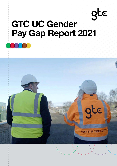# gte GTC UC Gender Pay Gap Report 2021

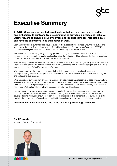# Executive Summary

At GTC UC, we employ talented, passionate individuals, who can bring expertise and enthusiasm to our team. We are committed to providing a diverse and inclusive workforce, and to ensure all our employees and job applicants feel respected, safe, and have the confidence to be themselves at work.

Each and every one of our employees plays a key role in the success of our business. Ensuring our culture and values are at the core of everything we do is reflected in the longevity of our employees' careers at GTC UC people like working here and we ensure that hard work and the right attitude are rewarded.

We are committed to reducing our gender pay gap and ensuring we attract and recruit people from every part of our community and support our employees to achieve their full potential and feel valued and included, regardless of their gender, age, race, disability, sexuality, or social background.

We are making progress but there is more work to be done. GTC UC has been recognised by our employees as a Great Place to Work® for the fifth consecutive year in the Super Large Best Workplaces category, and in 2021 we were ranked in the UK's Best Workplaces for Women.

We are dedicated to helping our people realise their ambitions and have a comprehensive learning and development programme – from apprenticeship schemes and soft-skills courses, to graduate schemes, degrees, and professional qualifications.

We are improving our recruitment process, to maximise diverse attraction, application, and appointment; we have launched a STEM (Science, Technology, Engineering and Maths) Ambassador Programme, we have introduced a Work Experience and Engineering Graduate Scheme across the business; and we have recently implemented a new Hybrid Working from Home Policy to encourage a better work life balance.

Having a passionate, happy, and diverse workforce is central to our continued success as a business. We will continue to ensure we deliver on our commitment to creating a more inclusive workplace, that attracts and develops its employees, and ensures they can succeed, regardless of their gender or background. There is still plenty to do, but we remain focused and committed to becoming a truly diverse and inclusive organisation.

#### I confirm that the statement is true to the best of my knowledge and belief

Paul Edwards Managing Director - Commercial

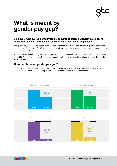# What is meant by gender pay gap?

#### Employers with over 250 employees are required to publish statutory calculations every year showing their pay gap between male and female employees.

The gender pay gap is the difference in the average earnings between men and women, regardless of the roles they perform. Gender pay differs from 'equal pay', which looks at pay differences between people carrying out the same or comparable work.

The calculations carried out by the Company are shown in the document below and are based on the snapshot date of 05 April 2021. They have been completed in line with the Government regulations (available through the ACAS website).

#### How much is our gender pay gap?

At 05 April 2021 the gender pay gap in GTC Utility Construction was 35% this has increased from 2020 which was 22%. The mean and median gender pay, and bonus gap can be seen in the graphs below.



#### Difference in mean bonus pay

Difference in median bonus pay



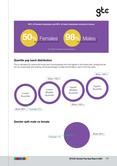#### **P Middle Male 100%** raca <sup>ua</sup>sa **Middle Quartile Middle Male 100% Lower** 50% of female employees and 98% of male employees received a bonus **Quartile** % of males vs females receiving a bonus  $8%$  Males

### Quartile pay band distribution

This is calculated by ranking the hourly rate of all employees from the highest to the lowest paid, dividing this list into four equal parts and working out the percentage of males and females in each of the four parts.

**Upper**

 $\overline{\mathbf{C}}$ 



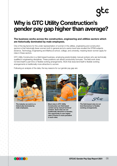# Why is GTC Utility Construction's gender pay gap higher than average?

#### The business works across the construction, engineering and utilities sectors which are historically dominated by male employees.

One of the big factors for the under representation of women in the utilities, engineering and construction sectors is that historically fewer women both in general and at a senior level have studied the STEM subjects (Science, Technology, Engineering and Maths) at school, college, and university, meaning fewer women apply for roles in these sectors.

GTC Utility Construction is a field-based business, employing predominately manual workers who are technically qualified in engineering disciplines. These positions can attract productivity bonuses. The field work does not lend itself to part time or flexible working arrangements. Work that does lend itself to flexible working arrangements is traditionally more attractive to women.

Following an analysis of the data, the key reasons for our gender pay gap are:



The industry we work in, is historically dominated by male employees.



Most roles in GTC Utility Construction are field based carried out by manual technical workers. Such roles are not traditionally attractive to females. The opportunity to earn higher rates of bonus is more prevalent in such roles.



The field-based roles do not lend themselves to flexible working arrangements.

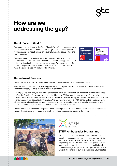GTCUC Gender Pay Gap Report 2021 06

## How are we addressing the gap?

## Great Place to Work®

Our ongoing commitment to the Great Place to Work® scheme ensures we remain focused on the business benefits of high employee engagement, resulting in our business being an employer of choice for both existing and new colleagues.

Our commitment to reducing the gender pay gap is reinforced through this commitment and by continuous improvement of our working practices and policies by listening to the voice of our colleagues. We have ranked for five consecutive years for the UK's Best Workplaces™ and in 2021 we have ranked in the UK's Best Workplaces™ for Women.

## Recruitment Process

Our employees are our most valued asset, and each employee plays a key role in our success.

We are mindful of the need to actively support and encourage women into the technical and field-based roles within the company, this is a key issue which we are tackling.

GTC engaged a third party to carry out a diversity and inclusion audit to actively seek out ways to help address the Gender Pay Gap. As a result, along with the third party, GTC are carrying out a review of our recruitment process to see how we can maximise diverse attraction, application, and appointment to our roles and specifically to ensure our adverts appeal to both genders. We are working towards a 50/50 gender split on applications for all roles. We will also train our teams and managers with recruitment best practice. We aim to select the best candidate for our roles, ensuring an inclusive and equal process is followed.

We ensure that our job adverts use gender neutral language to avoid word choices which may be interpreted as biased, discriminatory, or demeaning by implying that one sex or social gender is the norm.



We continue to work in the communities in which we operate to encourage females to choose a career within our industry. We have a STEM (Science, Technology, Engineering and Maths) Ambassador Programme which builds relationships with local educational institutions to further encourage and promote the opportunities that are available for females to pursue a career in a STEM related





**Best** 

Best